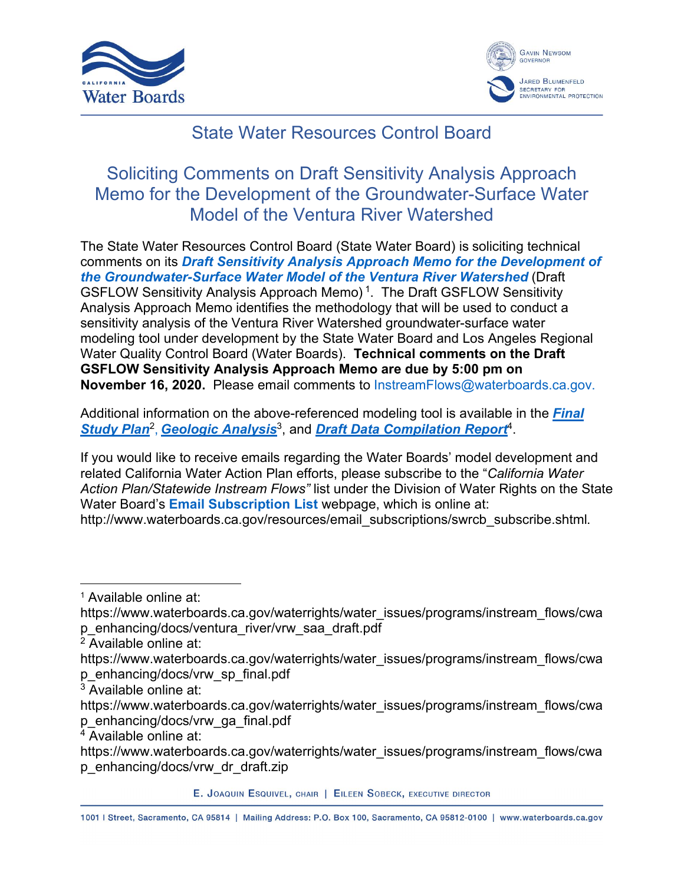



## State Water Resources Control Board

## Soliciting Comments on Draft Sensitivity Analysis Approach Memo for the Development of the Groundwater-Surface Water Model of the Ventura River Watershed

The State Water Resources Control Board (State Water Board) is soliciting technical comments on its *[Draft Sensitivity Analysis Approach Memo](https://www.waterboards.ca.gov/waterrights/water_issues/programs/instream_flows/cwap_enhancing/docs/ventura_river/vrw_saa_draft.pdf) for the Development of [the Groundwater-Surface Water Model of the Ventura River Watershed](https://www.waterboards.ca.gov/waterrights/water_issues/programs/instream_flows/cwap_enhancing/docs/ventura_river/vrw_saa_draft.pdf)* (Draft GSFLOW Sensitivity Analysis Approach Memo) [1](#page-0-0) . The Draft GSFLOW Sensitivity Analysis Approach Memo identifies the methodology that will be used to conduct a sensitivity analysis of the Ventura River Watershed groundwater-surface water modeling tool under development by the State Water Board and Los Angeles Regional Water Quality Control Board (Water Boards). **Technical comments on the Draft GSFLOW Sensitivity Analysis Approach Memo are due by 5:00 pm on November 16, 2020.** Please email comments to [InstreamFlows@waterboards.ca.gov.](mailto:InstreamFlows@waterboards.ca.gov)

Additional information on the above-referenced modeling tool is available in the *[Final](https://www.waterboards.ca.gov/waterrights/water_issues/programs/instream_flows/cwap_enhancing/docs/vrw_sp_final.pdf)*  [Study Plan](https://www.waterboards.ca.gov/waterrights/water_issues/programs/instream_flows/cwap_enhancing/docs/vrw_sp_final.pdf)<sup>[2](#page-0-1)</sup>, [Geologic Analysis](https://www.waterboards.ca.gov/waterrights/water_issues/programs/instream_flows/cwap_enhancing/docs/vrw_ga_final.pdf)<sup>[3](#page-0-2)</sup>, and [Draft Data Compilation Report](https://www.waterboards.ca.gov/waterrights/water_issues/programs/instream_flows/cwap_enhancing/docs/vrw_dr_draft.zip)<sup>[4](#page-0-3)</sup>.

If you would like to receive emails regarding the Water Boards' model development and related California Water Action Plan efforts, please subscribe to the "*California Water Action Plan/Statewide Instream Flows"* list under the Division of Water Rights on the State Water Board's **[Email Subscription List](http://www.waterboards.ca.gov/resources/email_subscriptions/swrcb_subscribe.shtml)** webpage, which is online at: http://www.waterboards.ca.gov/resources/email\_subscriptions/swrcb\_subscribe.shtml.

<span id="page-0-3"></span><sup>4</sup> Available online at:

E. JOAQUIN ESQUIVEL, CHAIR | EILEEN SOBECK, EXECUTIVE DIRECTOR

1001 | Street, Sacramento, CA 95814 | Mailing Address: P.O. Box 100, Sacramento, CA 95812-0100 | www.waterboards.ca.gov

<span id="page-0-0"></span><sup>1</sup> Available online at:

https://www.waterboards.ca.gov/waterrights/water\_issues/programs/instream\_flows/cwa p\_enhancing/docs/ventura\_river/vrw\_saa\_draft.pdf

<span id="page-0-1"></span> $2\bar{A}$ vailable online at:

https://www.waterboards.ca.gov/waterrights/water\_issues/programs/instream\_flows/cwa p\_enhancing/docs/vrw\_sp\_final.pdf

<span id="page-0-2"></span> $3$  Available online at:

https://www.waterboards.ca.gov/waterrights/water\_issues/programs/instream\_flows/cwa p\_enhancing/docs/vrw\_ga\_final.pdf

https://www.waterboards.ca.gov/waterrights/water\_issues/programs/instream\_flows/cwa p\_enhancing/docs/vrw\_dr\_draft.zip